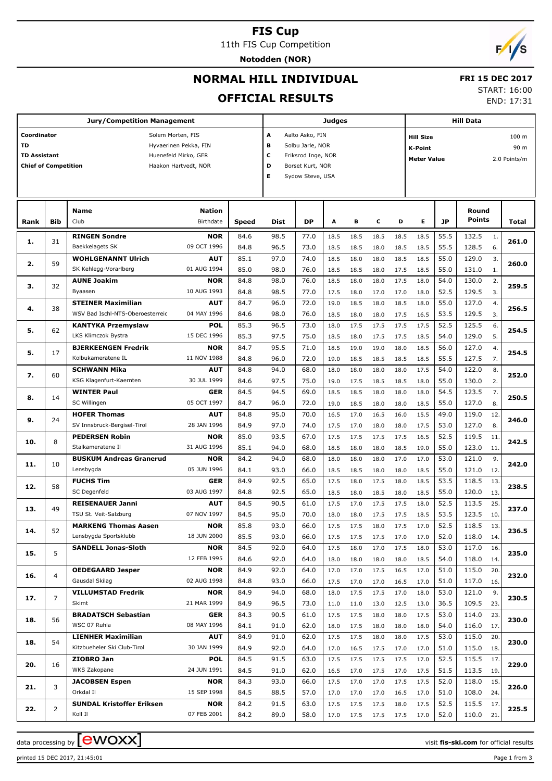# **FIS Cup**

11th FIS Cup Competition

**Notodden (NOR)**



# **NORMAL HILL INDIVIDUAL**

# **FRI 15 DEC 2017**

## **OFFICIAL RESULTS**

START: 16:00

END: 17:31

|                             |                | <b>Jury/Competition Management</b>          |                           |              |                         |                  | <b>Judges</b> |              |              |              | <b>Hill Data</b>                   |              |                       |                  |  |  |
|-----------------------------|----------------|---------------------------------------------|---------------------------|--------------|-------------------------|------------------|---------------|--------------|--------------|--------------|------------------------------------|--------------|-----------------------|------------------|--|--|
| Coordinator                 |                | Solem Morten, FIS                           |                           |              | A                       | Aalto Asko, FIN  |               |              |              |              | <b>Hill Size</b>                   |              |                       | 100 <sub>m</sub> |  |  |
| TD                          |                |                                             | Hyvaerinen Pekka, FIN     |              | в                       | Solbu Jarle, NOR |               |              |              |              | 90 m<br><b>K-Point</b>             |              |                       |                  |  |  |
| <b>TD Assistant</b>         |                |                                             | Huenefeld Mirko, GER      |              | с<br>Eriksrod Inge, NOR |                  |               |              |              |              | <b>Meter Value</b><br>2.0 Points/m |              |                       |                  |  |  |
| <b>Chief of Competition</b> |                |                                             | Haakon Hartvedt, NOR      |              | D                       | Borset Kurt, NOR |               |              |              |              |                                    |              |                       |                  |  |  |
|                             |                |                                             |                           |              | Е                       | Sydow Steve, USA |               |              |              |              |                                    |              |                       |                  |  |  |
|                             |                |                                             |                           |              |                         |                  |               |              |              |              |                                    |              |                       |                  |  |  |
|                             |                |                                             |                           |              |                         |                  |               |              |              |              |                                    |              |                       |                  |  |  |
|                             |                | Name                                        | <b>Nation</b>             |              |                         |                  |               |              |              |              |                                    |              | Round                 |                  |  |  |
| Rank                        | <b>Bib</b>     | Club                                        | Birthdate                 | Speed        | Dist                    | <b>DP</b>        | A             | в            | c            | D            | Е                                  | <b>JP</b>    | Points                | Total            |  |  |
| 1.                          | 31             | <b>RINGEN Sondre</b>                        | <b>NOR</b>                | 84.6         | 98.5                    | 77.0             | 18.5          | 18.5         | 18.5         | 18.5         | 18.5                               | 55.5         | 132.5<br>1.           | 261.0            |  |  |
|                             |                | Baekkelagets SK                             | 09 OCT 1996               | 84.8         | 96.5                    | 73.0             | 18.5          | 18.5         | 18.0         | 18.5         | 18.5                               | 55.5         | 128.5<br>6.           |                  |  |  |
| 2.                          | 59             | <b>WOHLGENANNT Ulrich</b>                   | <b>AUT</b>                | 85.1         | 97.0                    | 74.0             | 18.5          | 18.0         | 18.0         | 18.5         | 18.5                               | 55.0         | 129.0<br>3.           | 260.0            |  |  |
|                             |                | SK Kehlegg-Vorarlberg                       | 01 AUG 1994               | 85.0         | 98.0                    | 76.0             | 18.5          | 18.5         | 18.0         | 17.5         | 18.5                               | 55.0         | 131.0<br>1.           |                  |  |  |
| з.                          | 32             | <b>AUNE Joakim</b>                          | <b>NOR</b>                | 84.8         | 98.0                    | 76.0             | 18.5          | 18.0         | 18.0         | 17.5         | 18.0                               | 54.0         | 130.0<br>2.           | 259.5            |  |  |
|                             |                | Byaasen                                     | 10 AUG 1993               | 84.8         | 98.5                    | 77.0             | 17.5          | 18.0         | 17.0         | 17.0         | 18.0                               | 52.5         | 129.5<br>3.           |                  |  |  |
| 4.                          | 38             | <b>STEINER Maximilian</b>                   | <b>AUT</b>                | 84.7         | 96.0                    | 72.0             | 19.0          | 18.5         | 18.0         | 18.5         | 18.0                               | 55.0         | 127.0<br>4.           | 256.5            |  |  |
|                             |                | WSV Bad Ischl-NTS-Oberoesterreic            | 04 MAY 1996               | 84.6         | 98.0                    | 76.0             | 18.5          | 18.0         | 18.0         | 17.5         | 16.5                               | 53.5         | 129.5<br>3.           |                  |  |  |
| 5.                          | 62             | <b>KANTYKA Przemyslaw</b>                   | <b>POL</b>                | 85.3         | 96.5                    | 73.0             | 18.0          | 17.5         | 17.5         | 17.5         | 17.5                               | 52.5         | 125.5<br>6.           | 254.5            |  |  |
|                             |                | LKS Klimczok Bystra                         | 15 DEC 1996               | 85.3         | 97.5                    | 75.0             | 18.5          | 18.0         | 17.5         | 17.5         | 18.5                               | 54.0         | 129.0<br>5.           |                  |  |  |
| 5.                          | 17             | <b>BJERKEENGEN Fredrik</b>                  | <b>NOR</b>                | 84.7         | 95.5                    | 71.0             | 18.5          | 19.0         | 19.0         | 18.0         | 18.5                               | 56.0         | 127.0<br>4.           | 254.5            |  |  |
|                             |                | Kolbukameratene IL                          | 11 NOV 1988               | 84.8         | 96.0                    | 72.0             | 19.0          | 18.5         | 18.5         | 18.5         | 18.5                               | 55.5         | 127.5<br>7.           |                  |  |  |
| 7.                          | 60             | <b>SCHWANN Mika</b>                         | <b>AUT</b>                | 84.8         | 94.0                    | 68.0             | 18.0          | 18.0         | 18.0         | 18.0         | 17.5                               | 54.0         | 122.0<br>8.           | 252.0            |  |  |
|                             |                | KSG Klagenfurt-Kaernten                     | 30 JUL 1999               | 84.6         | 97.5                    | 75.0             | 19.0          | 17.5         | 18.5         | 18.5         | 18.0                               | 55.0         | 130.0<br>2.           |                  |  |  |
| 8.                          | 14             | <b>WINTER Paul</b>                          | GER                       | 84.5         | 94.5                    | 69.0             | 18.5          | 18.5         | 18.0         | 18.0         | 18.0                               | 54.5         | 123.5<br>7.           | 250.5            |  |  |
|                             |                | SC Willingen                                | 05 OCT 1997               | 84.7         | 96.0                    | 72.0             | 19.0          | 18.5         | 18.0         | 18.0         | 18.5                               | 55.0         | 127.0<br>8.           |                  |  |  |
| 9.                          | 24             | <b>HOFER Thomas</b>                         | <b>AUT</b>                | 84.8         | 95.0                    | 70.0             | 16.5          | 17.0         | 16.5         | 16.0         | 15.5                               | 49.0         | 119.0<br>12.          | 246.0            |  |  |
|                             |                | SV Innsbruck-Bergisel-Tirol                 | 28 JAN 1996               | 84.9         | 97.0                    | 74.0             | 17.5          | 17.0         | 18.0         | 18.0         | 17.5                               | 53.0         | 127.0<br>8.           |                  |  |  |
| 10.                         | 8              | <b>PEDERSEN Robin</b>                       | <b>NOR</b>                | 85.0         | 93.5                    | 67.0             | 17.5          | 17.5         | 17.5         | 17.5         | 16.5                               | 52.5         | 119.5<br>11.          | 242.5            |  |  |
|                             |                | Stalkameratene Il                           | 31 AUG 1996               | 85.1         | 94.0                    | 68.0             | 18.5          | 18.0         | 18.0         | 18.5         | 19.0                               | 55.0         | 123.0<br>11.          |                  |  |  |
| 11.                         | 10             | <b>BUSKUM Andreas Granerud</b><br>Lensbygda | <b>NOR</b><br>05 JUN 1996 | 84.2         | 94.0                    | 68.0             | 18.0          | 18.0         | 18.0         | 17.0         | 17.0                               | 53.0         | 121.0<br>9.           | 242.0            |  |  |
|                             |                | <b>FUCHS Tim</b>                            | <b>GER</b>                | 84.1<br>84.9 | 93.0<br>92.5            | 66.0<br>65.0     | 18.5          | 18.5         | 18.0         | 18.0         | 18.5                               | 55.0<br>53.5 | 121.0<br>12.<br>118.5 |                  |  |  |
| 12.                         | 58             | SC Degenfeld                                | 03 AUG 1997               | 84.8         | 92.5                    | 65.0             | 17.5          | 18.0         | 17.5         | 18.0         | 18.5                               | 55.0         | 13.<br>120.0<br>13.   | 238.5            |  |  |
|                             |                | <b>REISENAUER Janni</b>                     | <b>AUT</b>                | 84.5         | 90.5                    | 61.0             | 18.5<br>17.5  | 18.0<br>17.0 | 18.5<br>17.5 | 18.0<br>17.5 | 18.5<br>18.0                       | 52.5         | 113.5<br>25.          |                  |  |  |
| 13.                         | 49             | TSU St. Veit-Salzburg                       | 07 NOV 1997               | 84.5         | 95.0                    | 70.0             | 18.0          | 18.0         | 17.5         | 17.5         | 18.5                               | 53.5         | 123.5<br>10.          | 237.0            |  |  |
|                             |                | <b>MARKENG Thomas Aasen</b>                 | <b>NOR</b>                | 85.8         | 93.0                    | 66.0             | 17.5          | 17.5         | 18.0         | 17.5         | 17.0                               | 52.5         | 118.5<br>13.          |                  |  |  |
| 14.                         | 52             | Lensbygda Sportsklubb                       | 18 JUN 2000               | 85.5         | 93.0                    | 66.0             | 17.5          | 17.5         | 17.5         | 17.0         | 17.0                               | 52.0         | 118.0<br>14.          | 236.5            |  |  |
|                             |                | <b>SANDELL Jonas-Sloth</b>                  | <b>NOR</b>                | 84.5         | 92.0                    | 64.0             | 17.5          | 18.0         | 17.0         | 17.5         | 18.0                               | 53.0         | 117.0<br>16.          |                  |  |  |
| 15.                         | 5              |                                             | 12 FEB 1995               | 84.6         | 92.0                    | 64.0             | 18.0          | 18.0         | 18.0         | 18.0         | 18.5                               | 54.0         | 118.0<br>14.          | 235.0            |  |  |
|                             |                | <b>OEDEGAARD Jesper</b>                     | <b>NOR</b>                | 84.9         | 92.0                    | 64.0             | 17.0          | 17.0         | 17.5         | 16.5         | 17.0                               | 51.0         | 115.0<br>20.          |                  |  |  |
| 16.                         | $\overline{4}$ | Gausdal Skilag                              | 02 AUG 1998               | 84.8         | 93.0                    | 66.0             | 17.5          | 17.0         | 17.0         | 16.5         | 17.0                               | 51.0         | 117.0<br>16.          | 232.0            |  |  |
|                             |                | <b>VILLUMSTAD Fredrik</b>                   | <b>NOR</b>                | 84.9         | 94.0                    | 68.0             | 18.0          | 17.5         | 17.5         | 17.0         | 18.0                               | 53.0         | 121.0<br>9.           |                  |  |  |
| 17.                         | 7              | Skimt                                       | 21 MAR 1999               | 84.9         | 96.5                    | 73.0             | 11.0          | 11.0         | 13.0         | 12.5         | 13.0                               | 36.5         | 109.5<br>23.          | 230.5            |  |  |
|                             |                | <b>BRADATSCH Sebastian</b>                  | GER                       | 84.3         | 90.5                    | 61.0             | 17.5          | 17.5         | 18.0         | 18.0         | 17.5                               | 53.0         | 114.0<br>23.          |                  |  |  |
| 18.                         | 56             | WSC 07 Ruhla                                | 08 MAY 1996               | 84.1         | 91.0                    | 62.0             | 18.0          | 17.5         | 18.0         | 18.0         | 18.0                               | 54.0         | 116.0<br>17.          | 230.0            |  |  |
|                             |                | <b>LIENHER Maximilian</b>                   | <b>AUT</b>                | 84.9         | 91.0                    | 62.0             | 17.5          | 17.5         | 18.0         | 18.0         | 17.5                               | 53.0         | 115.0<br>20.          |                  |  |  |
| 18.                         | 54             | Kitzbueheler Ski Club-Tirol                 | 30 JAN 1999               | 84.9         | 92.0                    | 64.0             | 17.0          | 16.5         | 17.5         | 17.0         | 17.0                               | 51.0         | 115.0<br>18.          | 230.0            |  |  |
|                             |                | ZIOBRO Jan                                  | <b>POL</b>                | 84.5         | 91.5                    | 63.0             | 17.5          | 17.5         | 17.5         | 17.5         | 17.0                               | 52.5         | 115.5<br>17.          |                  |  |  |
| 20.                         | 16             | WKS Zakopane                                | 24 JUN 1991               | 84.5         | 91.0                    | 62.0             | 16.5          | 17.0         | 17.5         | 17.0         | 17.5                               | 51.5         | 113.5<br>19.          | 229.0            |  |  |
|                             |                | <b>JACOBSEN Espen</b>                       | <b>NOR</b>                | 84.3         | 93.0                    | 66.0             | 17.5          | 17.0         | 17.0         | 17.5         | 17.5                               | 52.0         | 118.0<br>15.          |                  |  |  |
| 21.                         | 3              | Orkdal II                                   | 15 SEP 1998               | 84.5         | 88.5                    | 57.0             | 17.0          | 17.0         | 17.0         | 16.5         | 17.0                               | 51.0         | 108.0<br>24.          | 226.0            |  |  |
|                             |                | <b>SUNDAL Kristoffer Eriksen</b>            | <b>NOR</b>                | 84.2         | 91.5                    | 63.0             | 17.5          | 17.5         | 17.5         | 18.0         | 17.5                               | 52.5         | 115.5<br>17.          |                  |  |  |
| 22.                         | $\overline{2}$ | Koll II                                     | 07 FEB 2001               | 84.2         | 89.0                    | 58.0             | 17.0          |              | 17.5 17.5    | 17.5         | 17.0                               | 52.0         | 110.0 21.             | 225.5            |  |  |

data processing by **CWOXX** and  $\overline{C}$  and  $\overline{C}$  and  $\overline{C}$  and  $\overline{C}$  and  $\overline{C}$  and  $\overline{C}$  and  $\overline{C}$  and  $\overline{C}$  and  $\overline{C}$  and  $\overline{C}$  and  $\overline{C}$  and  $\overline{C}$  and  $\overline{C}$  and  $\overline{C}$  and  $\overline{C}$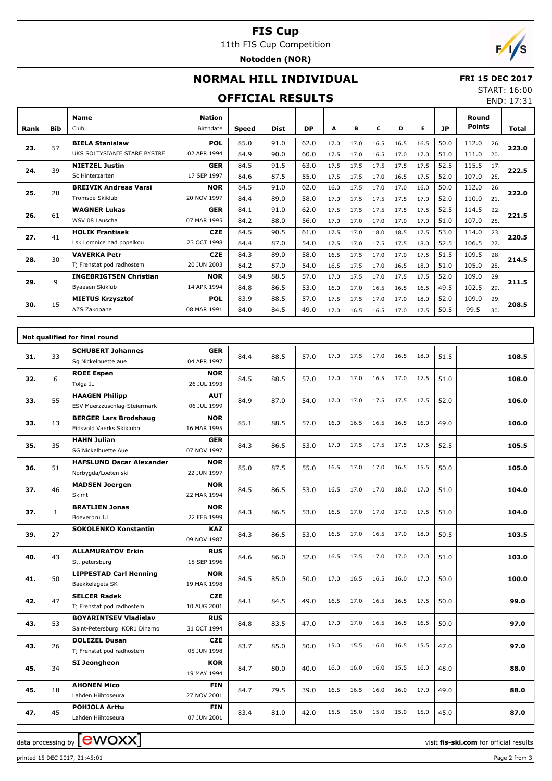## **FIS Cup** 11th FIS Cup Competition

**Notodden (NOR)**



# **NORMAL HILL INDIVIDUAL**

## **FRI 15 DEC 2017**

## **OFFICIAL RESULTS**

START: 16:00 END: 17:31

| Rank | <b>Bib</b>   | <b>Name</b><br>Club           | <b>Nation</b><br>Birthdate | Speed | <b>Dist</b> | <b>DP</b> | A    | в    | c    | D    | Е    | JP   |                                                                                                                                                              |     | Total |  |
|------|--------------|-------------------------------|----------------------------|-------|-------------|-----------|------|------|------|------|------|------|--------------------------------------------------------------------------------------------------------------------------------------------------------------|-----|-------|--|
|      |              | <b>BIELA Stanislaw</b>        | <b>POL</b>                 | 85.0  | 91.0        | 62.0      | 17.0 | 17.0 | 16.5 | 16.5 | 16.5 | 50.0 | 112.0                                                                                                                                                        | 26. |       |  |
| 23.  | 57           | UKS SOLTYSIANIE STARE BYSTRE  | 02 APR 1994                | 84.9  | 90.0        | 60.0      | 17.5 | 17.0 | 16.5 | 17.0 | 17.0 | 51.0 | Round<br><b>Points</b><br>111.0<br>115.5<br>107.0<br>112.0<br>110.0<br>114.5<br>107.0<br>114.0<br>106.5<br>109.5<br>105.0<br>109.0<br>102.5<br>109.0<br>99.5 | 20. | 223.0 |  |
| 24.  | 39           | <b>NIETZEL Justin</b>         | <b>GER</b>                 | 84.5  | 91.5        | 63.0      | 17.5 | 17.5 | 17.5 | 17.5 | 17.5 | 52.5 |                                                                                                                                                              | 17. | 222.5 |  |
|      |              | Sc Hinterzarten               | 17 SEP 1997                | 84.6  | 87.5        | 55.0      | 17.5 | 17.5 | 17.0 | 16.5 | 17.5 | 52.0 |                                                                                                                                                              | 25. |       |  |
| 25.  | 28           | <b>BREIVIK Andreas Varsi</b>  | <b>NOR</b>                 | 84.5  | 91.0        | 62.0      | 16.0 | 17.5 | 17.0 | 17.0 | 16.0 | 50.0 |                                                                                                                                                              | 26. | 222.0 |  |
|      |              | Tromsoe Skiklub               | 20 NOV 1997                | 84.4  | 89.0        | 58.0      | 17.0 | 17.5 | 17.5 | 17.5 | 17.0 | 52.0 |                                                                                                                                                              | 21. |       |  |
| 26.  | 61           | <b>WAGNER Lukas</b>           | <b>GER</b>                 | 84.1  | 91.0        | 62.0      | 17.5 | 17.5 | 17.5 | 17.5 | 17.5 | 52.5 |                                                                                                                                                              | 22. | 221.5 |  |
|      |              | WSV 08 Lauscha                | 07 MAR 1995                | 84.2  | 88.0        | 56.0      | 17.0 | 17.0 | 17.0 | 17.0 | 17.0 | 51.0 |                                                                                                                                                              | 25. |       |  |
| 27.  | 41           | <b>HOLIK Frantisek</b>        | <b>CZE</b>                 | 84.5  | 90.5        | 61.0      | 17.5 | 17.0 | 18.0 | 18.5 | 17.5 | 53.0 |                                                                                                                                                              | 23. | 220.5 |  |
|      |              | Lsk Lomnice nad popelkou      | 23 OCT 1998                | 84.4  | 87.0        | 54.0      | 17.5 | 17.0 | 17.5 | 17.5 | 18.0 | 52.5 |                                                                                                                                                              | 27. |       |  |
| 28.  | 30           | <b>VAVERKA Petr</b>           | <b>CZE</b>                 | 84.3  | 89.0        | 58.0      | 16.5 | 17.5 | 17.0 | 17.0 | 17.5 | 51.5 |                                                                                                                                                              | 28. | 214.5 |  |
|      |              | Tj Frenstat pod radhostem     | 20 JUN 2003                | 84.2  | 87.0        | 54.0      | 16.5 | 17.5 | 17.0 | 16.5 | 18.0 | 51.0 |                                                                                                                                                              | 28. |       |  |
| 29.  | $\mathsf{Q}$ | <b>INGEBRIGTSEN Christian</b> | <b>NOR</b>                 | 84.9  | 88.5        | 57.0      | 17.0 | 17.5 | 17.0 | 17.5 | 17.5 | 52.0 |                                                                                                                                                              | 29. | 211.5 |  |
|      |              | Byaasen Skiklub               | 14 APR 1994                | 84.8  | 86.5        | 53.0      | 16.0 | 17.0 | 16.5 | 16.5 | 16.5 | 49.5 |                                                                                                                                                              | 29. |       |  |
| 30.  | 15           | <b>MIETUS Krzysztof</b>       | <b>POL</b>                 | 83.9  | 88.5        | 57.0      | 17.5 | 17.5 | 17.0 | 17.0 | 18.0 | 52.0 |                                                                                                                                                              | 29. | 208.5 |  |
|      |              | AZS Zakopane                  | 08 MAR 1991                | 84.0  | 84.5        | 49.0      | 17.0 | 16.5 | 16.5 | 17.0 | 17.5 | 50.5 |                                                                                                                                                              | 30. |       |  |

|     |              | Not qualified for final round                                |                           |      |      |      |      |      |      |      |      |      |       |
|-----|--------------|--------------------------------------------------------------|---------------------------|------|------|------|------|------|------|------|------|------|-------|
| 31. | 33           | <b>SCHUBERT Johannes</b><br>Sq Nickelhuette aue              | <b>GER</b><br>04 APR 1997 | 84.4 | 88.5 | 57.0 | 17.0 | 17.5 | 17.0 | 16.5 | 18.0 | 51.5 | 108.5 |
| 32. | 6            | <b>ROEE Espen</b><br>Tolga IL                                | <b>NOR</b><br>26 JUL 1993 | 84.5 | 88.5 | 57.0 | 17.0 | 17.0 | 16.5 | 17.0 | 17.5 | 51.0 | 108.0 |
| 33. | 55           | <b>HAAGEN Philipp</b><br>ESV Muerzzuschlag-Steiermark        | <b>AUT</b><br>06 JUL 1999 | 84.9 | 87.0 | 54.0 | 17.0 | 17.0 | 17.5 | 17.5 | 17.5 | 52.0 | 106.0 |
| 33. | 13           | <b>BERGER Lars Brodshaug</b><br>Eidsvold Vaerks Skiklubb     | <b>NOR</b><br>16 MAR 1995 | 85.1 | 88.5 | 57.0 | 16.0 | 16.5 | 16.5 | 16.5 | 16.0 | 49.0 | 106.0 |
| 35. | 35           | <b>HAHN Julian</b><br>SG Nickelhuette Aue                    | <b>GER</b><br>07 NOV 1997 | 84.3 | 86.5 | 53.0 | 17.0 | 17.5 | 17.5 | 17.5 | 17.5 | 52.5 | 105.5 |
| 36. | 51           | <b>HAFSLUND Oscar Alexander</b><br>Norbygda/Loeten ski       | <b>NOR</b><br>22 JUN 1997 | 85.0 | 87.5 | 55.0 | 16.5 | 17.0 | 17.0 | 16.5 | 15.5 | 50.0 | 105.0 |
| 37. | 46           | <b>MADSEN Joergen</b><br>Skimt                               | <b>NOR</b><br>22 MAR 1994 | 84.5 | 86.5 | 53.0 | 16.5 | 17.0 | 17.0 | 18.0 | 17.0 | 51.0 | 104.0 |
| 37. | $\mathbf{1}$ | <b>BRATLIEN Jonas</b><br>Boeverbru I.L                       | <b>NOR</b><br>22 FEB 1999 | 84.3 | 86.5 | 53.0 | 16.5 | 17.0 | 17.0 | 17.0 | 17.5 | 51.0 | 104.0 |
| 39. | 27           | <b>SOKOLENKO Konstantin</b>                                  | <b>KAZ</b><br>09 NOV 1987 | 84.3 | 86.5 | 53.0 | 16.5 | 17.0 | 16.5 | 17.0 | 18.0 | 50.5 | 103.5 |
| 40. | 43           | <b>ALLAMURATOV Erkin</b><br>St. petersburg                   | <b>RUS</b><br>18 SEP 1996 | 84.6 | 86.0 | 52.0 | 16.5 | 17.5 | 17.0 | 17.0 | 17.0 | 51.0 | 103.0 |
| 41. | 50           | <b>LIPPESTAD Carl Henning</b><br>Baekkelagets SK             | <b>NOR</b><br>19 MAR 1998 | 84.5 | 85.0 | 50.0 | 17.0 | 16.5 | 16.5 | 16.0 | 17.0 | 50.0 | 100.0 |
| 42. | 47           | <b>SELCER Radek</b><br>Tj Frenstat pod radhostem             | <b>CZE</b><br>10 AUG 2001 | 84.1 | 84.5 | 49.0 | 16.5 | 17.0 | 16.5 | 16.5 | 17.5 | 50.0 | 99.0  |
| 43. | 53           | <b>BOYARINTSEV Vladislav</b><br>Saint-Petersburg KOR1 Dinamo | <b>RUS</b><br>31 OCT 1994 | 84.8 | 83.5 | 47.0 | 17.0 | 17.0 | 16.5 | 16.5 | 16.5 | 50.0 | 97.0  |
| 43. | 26           | <b>DOLEZEL Dusan</b><br>Tj Frenstat pod radhostem            | <b>CZE</b><br>05 JUN 1998 | 83.7 | 85.0 | 50.0 | 15.0 | 15.5 | 16.0 | 16.5 | 15.5 | 47.0 | 97.0  |
| 45. | 34           | SI Jeongheon                                                 | <b>KOR</b><br>19 MAY 1994 | 84.7 | 80.0 | 40.0 | 16.0 | 16.0 | 16.0 | 15.5 | 16.0 | 48.0 | 88.0  |
| 45. | 18           | <b>AHONEN Mico</b><br>Lahden Hiihtoseura                     | <b>FIN</b><br>27 NOV 2001 | 84.7 | 79.5 | 39.0 | 16.5 | 16.5 | 16.0 | 16.0 | 17.0 | 49.0 | 88.0  |
| 47. | 45           | <b>POHJOLA Arttu</b><br>Lahden Hiihtoseura                   | <b>FIN</b><br>07 JUN 2001 | 83.4 | 81.0 | 42.0 | 15.5 | 15.0 | 15.0 | 15.0 | 15.0 | 45.0 | 87.0  |

data processing by **CWOXX**  $\blacksquare$ 

printed 15 DEC 2017, 21:45:01 Page 2 from 3